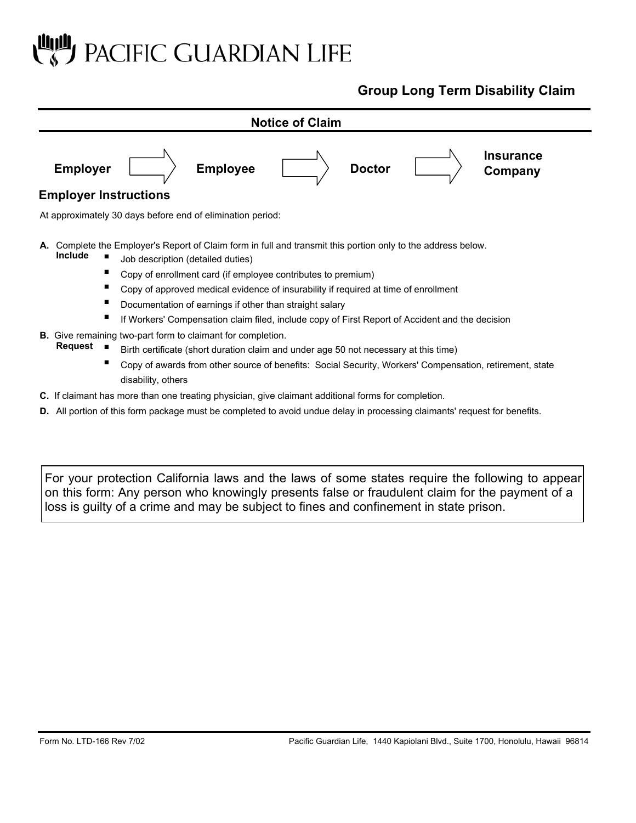# PACIFIC GUARDIAN LIFE

## **Group Long Term Disability Claim**



**D.** All portion of this form package must be completed to avoid undue delay in processing claimants' request for benefits.

For your protection California laws and the laws of some states require the following to appear on this form: Any person who knowingly presents false or fraudulent claim for the payment of a loss is guilty of a crime and may be subject to fines and confinement in state prison.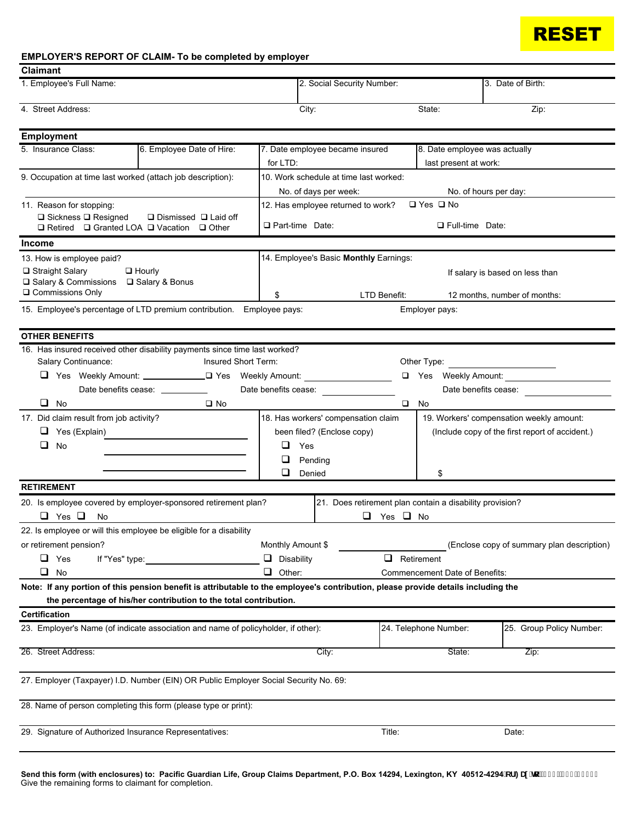

### **EMPLOYER'S REPORT OF CLAIM- To be completed by employer**

| 1. Employee's Full Name:<br>4. Street Address:                                                                                                                                                                                                              | 2. Social Security Number:<br>City:                                                                                             |                                                                           | 3. Date of Birth:                                                                           |  |  |  |  |  |
|-------------------------------------------------------------------------------------------------------------------------------------------------------------------------------------------------------------------------------------------------------------|---------------------------------------------------------------------------------------------------------------------------------|---------------------------------------------------------------------------|---------------------------------------------------------------------------------------------|--|--|--|--|--|
|                                                                                                                                                                                                                                                             |                                                                                                                                 |                                                                           |                                                                                             |  |  |  |  |  |
|                                                                                                                                                                                                                                                             |                                                                                                                                 | State:                                                                    | Zip:                                                                                        |  |  |  |  |  |
| <b>Employment</b>                                                                                                                                                                                                                                           |                                                                                                                                 |                                                                           |                                                                                             |  |  |  |  |  |
| 5. Insurance Class:<br>6. Employee Date of Hire:                                                                                                                                                                                                            | 7. Date employee became insured<br>for LTD:                                                                                     |                                                                           | 8. Date employee was actually<br>last present at work:                                      |  |  |  |  |  |
| 9. Occupation at time last worked (attach job description):                                                                                                                                                                                                 | 10. Work schedule at time last worked:<br>No. of days per week:<br>No. of hours per day:                                        |                                                                           |                                                                                             |  |  |  |  |  |
| 11. Reason for stopping:<br>□ Sickness □ Resigned<br>$\Box$ Dismissed $\Box$ Laid off<br>□ Retired □ Granted LOA □ Vacation □ Other                                                                                                                         | $\Box$ Yes $\Box$ No<br>12. Has employee returned to work?<br>Part-time Date:<br>$\Box$ Full-time Date:                         |                                                                           |                                                                                             |  |  |  |  |  |
| Income                                                                                                                                                                                                                                                      |                                                                                                                                 |                                                                           |                                                                                             |  |  |  |  |  |
| 13. How is employee paid?<br>□ Straight Salary<br>$\Box$ Hourly<br>□ Salary & Commissions □ Salary & Bonus<br>□ Commissions Only                                                                                                                            | 14. Employee's Basic Monthly Earnings:<br>If salary is based on less than<br>\$<br>LTD Benefit:<br>12 months, number of months: |                                                                           |                                                                                             |  |  |  |  |  |
| 15. Employee's percentage of LTD premium contribution. Employee pays:<br>Employer pays:                                                                                                                                                                     |                                                                                                                                 |                                                                           |                                                                                             |  |  |  |  |  |
| <b>OTHER BENEFITS</b>                                                                                                                                                                                                                                       |                                                                                                                                 |                                                                           |                                                                                             |  |  |  |  |  |
| 16. Has insured received other disability payments since time last worked?<br>Salary Continuance:<br>Insured Short Term:<br>□ Yes Weekly Amount: ______________________ Pes Weekly Amount:<br>Date benefits cease: ___________<br>$\Box$ No<br>$\square$ No | Date benefits cease:                                                                                                            | Other Type:<br>$\square$ No                                               | □ Yes Weekly Amount:<br>Date benefits cease:                                                |  |  |  |  |  |
| 17. Did claim result from job activity?<br>$\Box$ Yes (Explain)<br>❏<br>No                                                                                                                                                                                  | 18. Has workers' compensation claim<br>been filed? (Enclose copy)<br>⊔<br>Yes<br>Pending<br>$\Box$ Denied                       | \$                                                                        | 19. Workers' compensation weekly amount:<br>(Include copy of the first report of accident.) |  |  |  |  |  |
| <b>RETIREMENT</b>                                                                                                                                                                                                                                           |                                                                                                                                 |                                                                           |                                                                                             |  |  |  |  |  |
| 20. Is employee covered by employer-sponsored retirement plan?<br>$\Box$ Yes $\Box$<br>No                                                                                                                                                                   | ப                                                                                                                               | 21. Does retirement plan contain a disability provision?<br>Yes $\Box$ No |                                                                                             |  |  |  |  |  |
| 22. Is employee or will this employee be eligible for a disability<br>or retirement pension?<br>◻<br>$\Box$ Yes<br>If "Yes" type:<br>$\Box$ No<br>❏                                                                                                         | Monthly Amount \$<br>Disability<br>Other:                                                                                       | u.<br>Retirement<br>Commencement Date of Benefits:                        | (Enclose copy of summary plan description)                                                  |  |  |  |  |  |
| Note: If any portion of this pension benefit is attributable to the employee's contribution, please provide details including the<br>the percentage of his/her contribution to the total contribution.                                                      |                                                                                                                                 |                                                                           |                                                                                             |  |  |  |  |  |
| <b>Certification</b>                                                                                                                                                                                                                                        |                                                                                                                                 |                                                                           |                                                                                             |  |  |  |  |  |
| 23. Employer's Name (of indicate association and name of policyholder, if other):                                                                                                                                                                           |                                                                                                                                 | 24. Telephone Number:                                                     | 25. Group Policy Number:                                                                    |  |  |  |  |  |
| 26. Street Address:                                                                                                                                                                                                                                         | City:                                                                                                                           | State:                                                                    | Zip:                                                                                        |  |  |  |  |  |
| 27. Employer (Taxpayer) I.D. Number (EIN) OR Public Employer Social Security No. 69:                                                                                                                                                                        |                                                                                                                                 |                                                                           |                                                                                             |  |  |  |  |  |
| 28. Name of person completing this form (please type or print):                                                                                                                                                                                             |                                                                                                                                 |                                                                           |                                                                                             |  |  |  |  |  |
| 29. Signature of Authorized Insurance Representatives:                                                                                                                                                                                                      |                                                                                                                                 | Title:                                                                    | Date:                                                                                       |  |  |  |  |  |

lend this form (with enclosures) to: Pacific Guardian Life, Group Claims Department, P.O. Box 14294, Lexington, KY 40512-4294 cf : U ˈhɔˈf] ) ) Ł, \*( !\$) ' \$' Give the remaining forms to claimant for completion.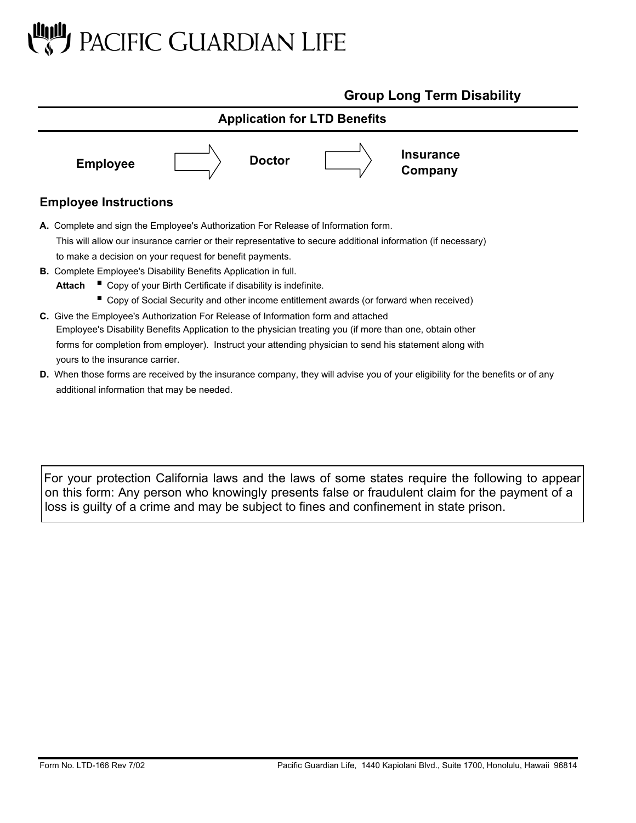# PACIFIC GUARDIAN LIFE

additional information that may be needed.

# **Group Long Term Disability**



For your protection California laws and the laws of some states require the following to appear on this form: Any person who knowingly presents false or fraudulent claim for the payment of a loss is guilty of a crime and may be subject to fines and confinement in state prison.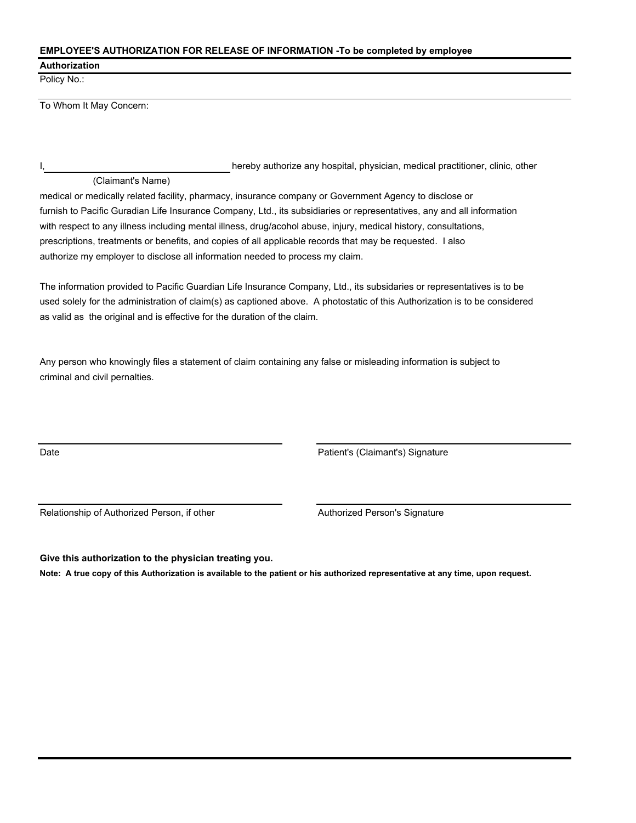#### **EMPLOYEE'S AUTHORIZATION FOR RELEASE OF INFORMATION -To be completed by employee**

#### **Authorization**

Policy No.:

To Whom It May Concern:

#### (Claimant's Name)

I, hereby authorize any hospital, physician, medical practitioner, clinic, other

medical or medically related facility, pharmacy, insurance company or Government Agency to disclose or furnish to Pacific Guradian Life Insurance Company, Ltd., its subsidiaries or representatives, any and all information with respect to any illness including mental illness, drug/acohol abuse, injury, medical history, consultations, prescriptions, treatments or benefits, and copies of all applicable records that may be requested. I also authorize my employer to disclose all information needed to process my claim.

The information provided to Pacific Guardian Life Insurance Company, Ltd., its subsidaries or representatives is to be used solely for the administration of claim(s) as captioned above. A photostatic of this Authorization is to be considered as valid as the original and is effective for the duration of the claim.

Any person who knowingly files a statement of claim containing any false or misleading information is subject to criminal and civil pernalties.

Date Patient's (Claimant's) Signature

Relationship of Authorized Person, if other Authorized Person's Signature

**Give this authorization to the physician treating you.**

**Note: A true copy of this Authorization is available to the patient or his authorized representative at any time, upon request.**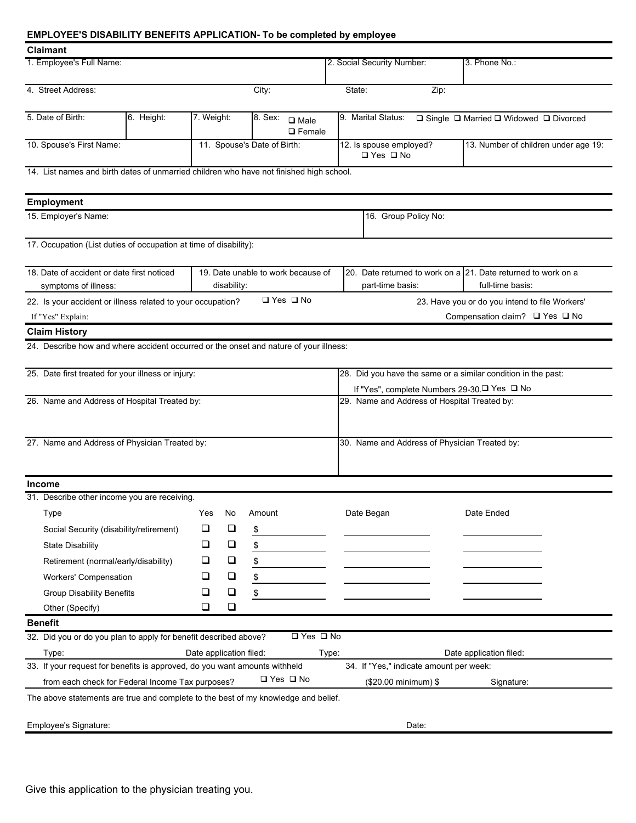### **EMPLOYEE'S DISABILITY BENEFITS APPLICATION- To be completed by employee**

| <b>Claimant</b>                                                                                                         |                                          |            |                             |                                              |                                                 |                                                                                                       |                                                             |  |  |  |
|-------------------------------------------------------------------------------------------------------------------------|------------------------------------------|------------|-----------------------------|----------------------------------------------|-------------------------------------------------|-------------------------------------------------------------------------------------------------------|-------------------------------------------------------------|--|--|--|
| 1. Employee's Full Name:                                                                                                |                                          |            |                             |                                              | 2. Social Security Number:                      | 3. Phone No.:                                                                                         |                                                             |  |  |  |
| 4. Street Address:                                                                                                      |                                          | City:      |                             | State:<br>Zip:                               |                                                 |                                                                                                       |                                                             |  |  |  |
| 5. Date of Birth:                                                                                                       | 6. Height:                               | 7. Weight: |                             | $8.$ Sex:<br>$\square$ Male<br>$\Box$ Female |                                                 | 9. Marital Status:                                                                                    | $\Box$ Single $\Box$ Married $\Box$ Widowed $\Box$ Divorced |  |  |  |
| 10. Spouse's First Name:                                                                                                |                                          |            | 11. Spouse's Date of Birth: |                                              | 12. Is spouse employed?<br>$\Box$ Yes $\Box$ No | 13. Number of children under age 19:                                                                  |                                                             |  |  |  |
| 14. List names and birth dates of unmarried children who have not finished high school.                                 |                                          |            |                             |                                              |                                                 |                                                                                                       |                                                             |  |  |  |
| <b>Employment</b>                                                                                                       |                                          |            |                             |                                              |                                                 |                                                                                                       |                                                             |  |  |  |
| 15. Employer's Name:                                                                                                    |                                          |            |                             |                                              |                                                 | 16. Group Policy No:                                                                                  |                                                             |  |  |  |
| 17. Occupation (List duties of occupation at time of disability):                                                       |                                          |            |                             |                                              |                                                 |                                                                                                       |                                                             |  |  |  |
| 18. Date of accident or date first noticed<br>19. Date unable to work because of<br>symptoms of illness:<br>disability: |                                          |            |                             |                                              |                                                 | 20. Date returned to work on a 21. Date returned to work on a<br>full-time basis:<br>part-time basis: |                                                             |  |  |  |
| 22. Is your accident or illness related to your occupation?                                                             |                                          |            |                             | □ Yes □ No                                   |                                                 |                                                                                                       | 23. Have you or do you intend to file Workers'              |  |  |  |
| If "Yes" Explain:                                                                                                       | Compensation claim? $\Box$ Yes $\Box$ No |            |                             |                                              |                                                 |                                                                                                       |                                                             |  |  |  |
| <b>Claim History</b>                                                                                                    |                                          |            |                             |                                              |                                                 |                                                                                                       |                                                             |  |  |  |
| 24. Describe how and where accident occurred or the onset and nature of your illness:                                   |                                          |            |                             |                                              |                                                 |                                                                                                       |                                                             |  |  |  |
| 25. Date first treated for your illness or injury:                                                                      |                                          |            |                             |                                              |                                                 | 28. Did you have the same or a similar condition in the past:                                         |                                                             |  |  |  |
|                                                                                                                         |                                          |            |                             |                                              |                                                 | If "Yes", complete Numbers 29-30. <sup>□</sup> Yes □ No                                               |                                                             |  |  |  |
| 26. Name and Address of Hospital Treated by:                                                                            |                                          |            |                             |                                              |                                                 | 29. Name and Address of Hospital Treated by:                                                          |                                                             |  |  |  |
| 27. Name and Address of Physician Treated by:                                                                           |                                          |            |                             |                                              |                                                 | 30. Name and Address of Physician Treated by:                                                         |                                                             |  |  |  |
| <b>Income</b>                                                                                                           |                                          |            |                             |                                              |                                                 |                                                                                                       |                                                             |  |  |  |
| 31. Describe other income you are receiving.                                                                            |                                          |            |                             |                                              |                                                 |                                                                                                       |                                                             |  |  |  |
| Type                                                                                                                    |                                          |            | Yes No Amount               |                                              |                                                 | Date Began                                                                                            | Date Ended                                                  |  |  |  |
| Social Security (disability/retirement)                                                                                 |                                          | ❏          | ❏                           | \$                                           |                                                 |                                                                                                       |                                                             |  |  |  |
| <b>State Disability</b>                                                                                                 |                                          | $\Box$     | $\Box$                      | \$                                           |                                                 |                                                                                                       |                                                             |  |  |  |
| Retirement (normal/early/disability)                                                                                    |                                          | ⊔          | $\Box$                      | \$                                           |                                                 |                                                                                                       |                                                             |  |  |  |
| Workers' Compensation                                                                                                   |                                          | ⊔          | $\Box$                      | \$                                           |                                                 |                                                                                                       |                                                             |  |  |  |
| Group Disability Benefits                                                                                               |                                          | ⊔          | $\Box$                      | \$                                           |                                                 |                                                                                                       |                                                             |  |  |  |
| Other (Specify)                                                                                                         |                                          | ❏          | $\Box$                      |                                              |                                                 |                                                                                                       |                                                             |  |  |  |
| <b>Benefit</b>                                                                                                          |                                          |            |                             |                                              |                                                 |                                                                                                       |                                                             |  |  |  |
| 32. Did you or do you plan to apply for benefit described above?                                                        |                                          |            |                             | $\Box$ Yes $\Box$ No                         |                                                 |                                                                                                       |                                                             |  |  |  |
| Date application filed:<br>Date application filed:<br>Type:<br>Type:                                                    |                                          |            |                             |                                              |                                                 |                                                                                                       |                                                             |  |  |  |
| 33. If your request for benefits is approved, do you want amounts withheld                                              |                                          |            |                             |                                              | 34. If "Yes," indicate amount per week:         |                                                                                                       |                                                             |  |  |  |
| $\Box$ Yes $\Box$ No<br>from each check for Federal Income Tax purposes?<br>(\$20.00 minimum) \$<br>Signature:          |                                          |            |                             |                                              |                                                 |                                                                                                       |                                                             |  |  |  |
| The above statements are true and complete to the best of my knowledge and belief.                                      |                                          |            |                             |                                              |                                                 |                                                                                                       |                                                             |  |  |  |
| Employee's Signature:                                                                                                   |                                          |            |                             |                                              |                                                 | Date:                                                                                                 |                                                             |  |  |  |